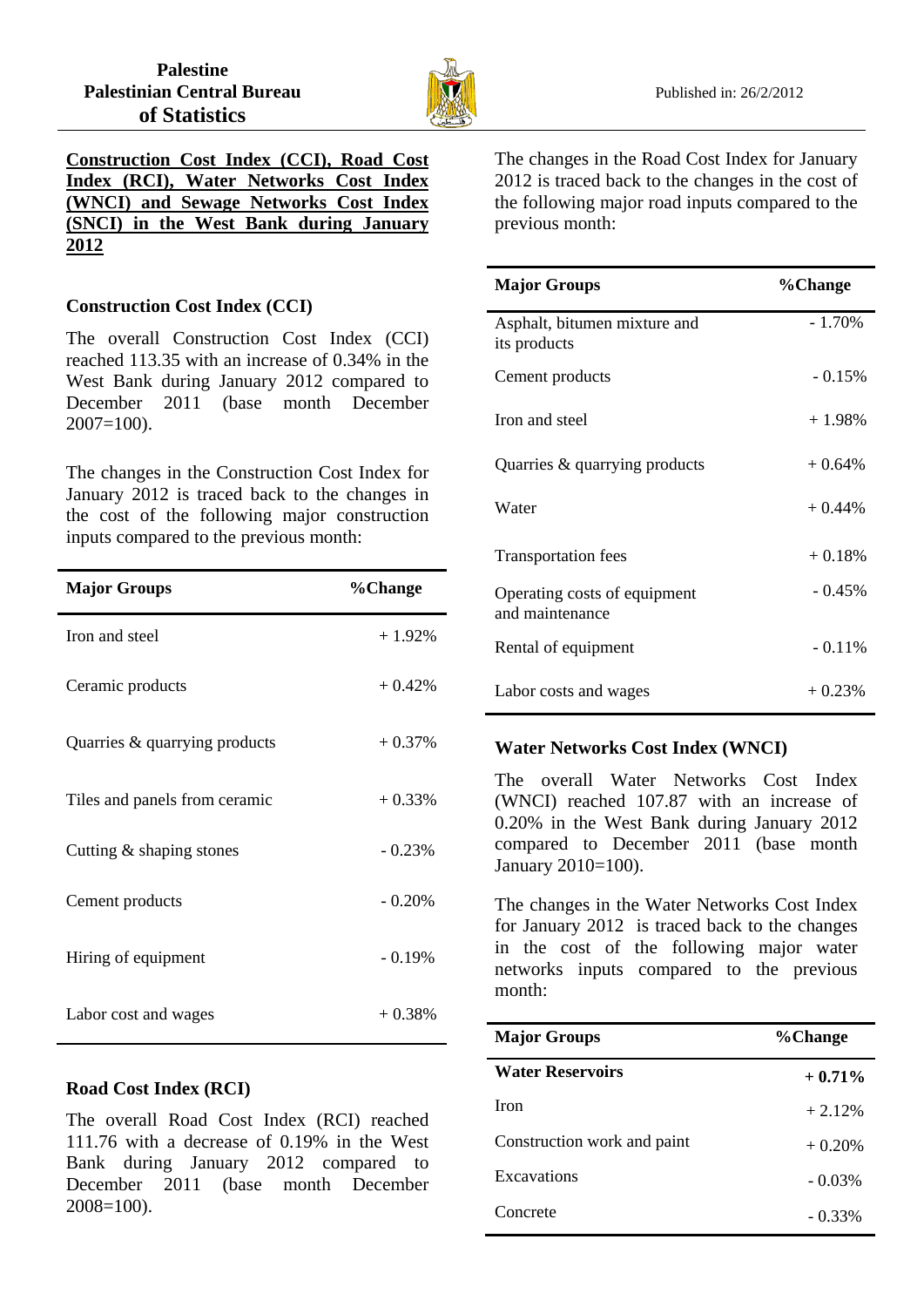

*<sup>U</sup>***Construction Cost Index (CCI), Road Cost Index (RCI), Water Networks Cost Index (WNCI) and Sewage Networks Cost Index (SNCI) in the West Bank during January 2012**

## **Construction Cost Index (CCI)**

The overall Construction Cost Index (CCI) reached 113.35 with an increase of 0.34% in the West Bank during January 2012 compared to December 2011 (base month December  $2007=100$ ).

The changes in the Construction Cost Index for January 2012 is traced back to the changes in the cost of the following major construction inputs compared to the previous month:

| <b>Major Groups</b>           | %Change   |
|-------------------------------|-----------|
| Iron and steel                | $+1.92\%$ |
| Ceramic products              | $+0.42%$  |
| Quarries & quarrying products | $+0.37%$  |
| Tiles and panels from ceramic | $+0.33%$  |
| Cutting $&$ shaping stones    | $-0.23%$  |
| Cement products               | $-0.20%$  |
| Hiring of equipment           | $-0.19%$  |
| Labor cost and wages          | $+0.38%$  |

## **Road Cost Index (RCI)**

The overall Road Cost Index (RCI) reached 111.76 with a decrease of 0.19% in the West Bank during January 2012 compared to December 2011 (base month December 2008=100).

The changes in the Road Cost Index for January 2012 is traced back to the changes in the cost of the following major road inputs compared to the previous month:

| <b>Major Groups</b>                             | %Change   |
|-------------------------------------------------|-----------|
| Asphalt, bitumen mixture and<br>its products    | $-1.70%$  |
| Cement products                                 | $-0.15%$  |
| Iron and steel                                  | $+1.98\%$ |
| Quarries & quarrying products                   | $+0.64%$  |
| Water                                           | $+0.44\%$ |
| <b>Transportation fees</b>                      | $+0.18%$  |
| Operating costs of equipment<br>and maintenance | $-0.45%$  |
| Rental of equipment                             | $-0.11%$  |
| Labor costs and wages                           | $+0.23%$  |

## **Water Networks Cost Index (WNCI)**

The overall Water Networks Cost Index (WNCI) reached 107.87 with an increase of 0.20% in the West Bank during January 2012 compared to December 2011 (base month January 2010=100).

The changes in the Water Networks Cost Index for January 2012 is traced back to the changes in the cost of the following major water networks inputs compared to the previous month:

| <b>Major Groups</b>         | %Change   |
|-----------------------------|-----------|
| <b>Water Reservoirs</b>     | $+0.71%$  |
| <b>Iron</b>                 | $+2.12%$  |
| Construction work and paint | $+0.20%$  |
| Excavations                 | $-0.03\%$ |
| Concrete                    | $-0.33\%$ |